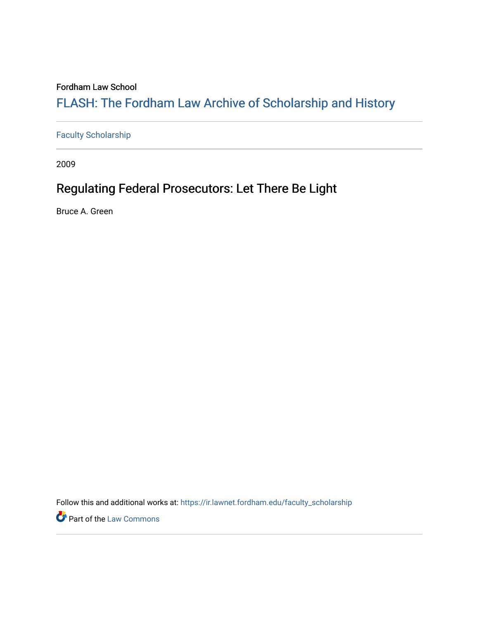#### Fordham Law School

# FLASH: The For[dham Law Archive of Scholarship and Hist](https://ir.lawnet.fordham.edu/)ory

[Faculty Scholarship](https://ir.lawnet.fordham.edu/faculty_scholarship)

2009

# Regulating Federal Prosecutors: Let There Be Light

Bruce A. Green

Follow this and additional works at: [https://ir.lawnet.fordham.edu/faculty\\_scholarship](https://ir.lawnet.fordham.edu/faculty_scholarship?utm_source=ir.lawnet.fordham.edu%2Ffaculty_scholarship%2F1158&utm_medium=PDF&utm_campaign=PDFCoverPages)

**Part of the [Law Commons](http://network.bepress.com/hgg/discipline/578?utm_source=ir.lawnet.fordham.edu%2Ffaculty_scholarship%2F1158&utm_medium=PDF&utm_campaign=PDFCoverPages)**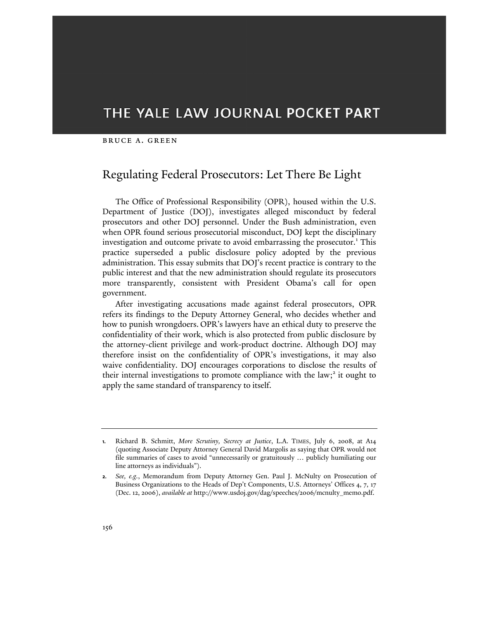### THE YALE LAW JOURNAL POCKET PART

#### bruce a. green

#### Regulating Federal Prosecutors: Let There Be Light

The Office of Professional Responsibility (OPR), housed within the U.S. Department of Justice (DOJ), investigates alleged misconduct by federal prosecutors and other DOJ personnel. Under the Bush administration, even when OPR found serious prosecutorial misconduct, DOJ kept the disciplinary investigation and outcome private to avoid embarrassing the prosecutor.<sup>1</sup> This practice superseded a public disclosure policy adopted by the previous administration. This essay submits that DOJ's recent practice is contrary to the public interest and that the new administration should regulate its prosecutors more transparently, consistent with President Obama's call for open government.

After investigating accusations made against federal prosecutors, OPR refers its findings to the Deputy Attorney General, who decides whether and how to punish wrongdoers. OPR's lawyers have an ethical duty to preserve the confidentiality of their work, which is also protected from public disclosure by the attorney-client privilege and work-product doctrine. Although DOJ may therefore insist on the confidentiality of OPR's investigations, it may also waive confidentiality. DOJ encourages corporations to disclose the results of their internal investigations to promote compliance with the law;<sup>2</sup> it ought to apply the same standard of transparency to itself.

**<sup>1.</sup>** Richard B. Schmitt, *More Scrutiny, Secrecy at Justice*, L.A. TIMES, July 6, 2008, at A14 (quoting Associate Deputy Attorney General David Margolis as saying that OPR would not file summaries of cases to avoid "unnecessarily or gratuitously … publicly humiliating our line attorneys as individuals").

**<sup>2.</sup>** *See, e.g.*, Memorandum from Deputy Attorney Gen. Paul J. McNulty on Prosecution of Business Organizations to the Heads of Dep't Components, U.S. Attorneys' Offices 4, 7, 17 (Dec. 12, 2006), *available at* http://www.usdoj.gov/dag/speeches/2006/mcnulty\_memo.pdf.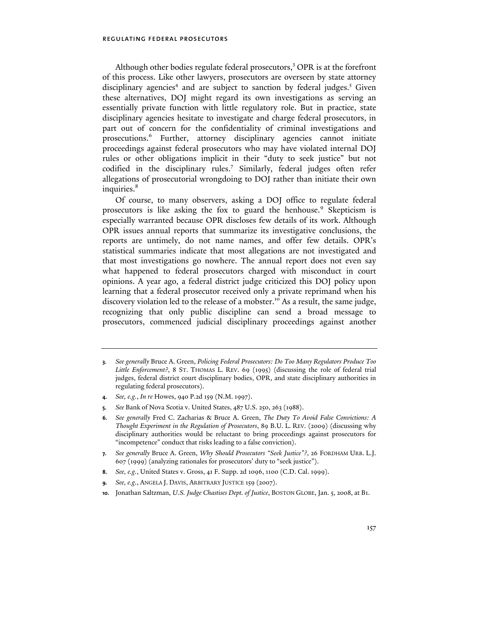Although other bodies regulate federal prosecutors,<sup>3</sup> OPR is at the forefront of this process. Like other lawyers, prosecutors are overseen by state attorney disciplinary agencies<sup>4</sup> and are subject to sanction by federal judges.<sup>5</sup> Given these alternatives, DOJ might regard its own investigations as serving an essentially private function with little regulatory role. But in practice, state disciplinary agencies hesitate to investigate and charge federal prosecutors, in part out of concern for the confidentiality of criminal investigations and prosecutions.6 Further, attorney disciplinary agencies cannot initiate proceedings against federal prosecutors who may have violated internal DOJ rules or other obligations implicit in their "duty to seek justice" but not codified in the disciplinary rules.<sup>7</sup> Similarly, federal judges often refer allegations of prosecutorial wrongdoing to DOJ rather than initiate their own inquiries.<sup>8</sup>

Of course, to many observers, asking a DOJ office to regulate federal prosecutors is like asking the fox to guard the henhouse.<sup>9</sup> Skepticism is especially warranted because OPR discloses few details of its work. Although OPR issues annual reports that summarize its investigative conclusions, the reports are untimely, do not name names, and offer few details. OPR's statistical summaries indicate that most allegations are not investigated and that most investigations go nowhere. The annual report does not even say what happened to federal prosecutors charged with misconduct in court opinions. A year ago, a federal district judge criticized this DOJ policy upon learning that a federal prosecutor received only a private reprimand when his discovery violation led to the release of a mobster.<sup>10</sup> As a result, the same judge, recognizing that only public discipline can send a broad message to prosecutors, commenced judicial disciplinary proceedings against another

- **4.** *See, e.g.*, *In re* Howes, 940 P.2d 159 (N.M. 1997).
- **5.** *See* Bank of Nova Scotia v. United States, 487 U.S. 250, 263 (1988).
- **6.** *See generally* Fred C. Zacharias & Bruce A. Green, *The Duty To Avoid False Convictions: A Thought Experiment in the Regulation of Prosecutors*, 89 B.U. L. REV. (2009) (discussing why disciplinary authorities would be reluctant to bring proceedings against prosecutors for "incompetence" conduct that risks leading to a false conviction).
- **7.** *See generally* Bruce A. Green, *Why Should Prosecutors "Seek Justice"?*, 26 FORDHAM URB. L.J. 607 (1999) (analyzing rationales for prosecutors' duty to "seek justice").
- **8.** *See, e.g.*, United States v. Gross, 41 F. Supp. 2d 1096, 1100 (C.D. Cal. 1999).
- **9.** *See, e.g*., ANGELA J. DAVIS, ARBITRARY JUSTICE 159 (2007).
- **10.** Jonathan Saltzman, *U.S. Judge Chastises Dept. of Justice*, BOSTON GLOBE, Jan. 5, 2008, at B1.

**<sup>3.</sup>** *See generally* Bruce A. Green, *Policing Federal Prosecutors: Do Too Many Regulators Produce Too Little Enforcement?*, 8 ST. THOMAS L. REV. 69 (1995) (discussing the role of federal trial judges, federal district court disciplinary bodies, OPR, and state disciplinary authorities in regulating federal prosecutors).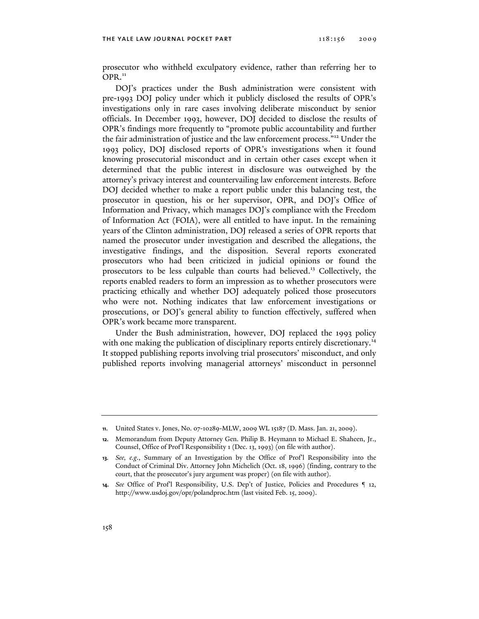prosecutor who withheld exculpatory evidence, rather than referring her to  $OPR.<sup>11</sup>$ 

DOJ's practices under the Bush administration were consistent with pre-1993 DOJ policy under which it publicly disclosed the results of OPR's investigations only in rare cases involving deliberate misconduct by senior officials. In December 1993, however, DOJ decided to disclose the results of OPR's findings more frequently to "promote public accountability and further the fair administration of justice and the law enforcement process."12 Under the 1993 policy, DOJ disclosed reports of OPR's investigations when it found knowing prosecutorial misconduct and in certain other cases except when it determined that the public interest in disclosure was outweighed by the attorney's privacy interest and countervailing law enforcement interests. Before DOJ decided whether to make a report public under this balancing test, the prosecutor in question, his or her supervisor, OPR, and DOJ's Office of Information and Privacy, which manages DOJ's compliance with the Freedom of Information Act (FOIA), were all entitled to have input. In the remaining years of the Clinton administration, DOJ released a series of OPR reports that named the prosecutor under investigation and described the allegations, the investigative findings, and the disposition. Several reports exonerated prosecutors who had been criticized in judicial opinions or found the prosecutors to be less culpable than courts had believed.13 Collectively, the reports enabled readers to form an impression as to whether prosecutors were practicing ethically and whether DOJ adequately policed those prosecutors who were not. Nothing indicates that law enforcement investigations or prosecutions, or DOJ's general ability to function effectively, suffered when OPR's work became more transparent.

Under the Bush administration, however, DOJ replaced the 1993 policy with one making the publication of disciplinary reports entirely discretionary.<sup>14</sup> It stopped publishing reports involving trial prosecutors' misconduct, and only published reports involving managerial attorneys' misconduct in personnel

**<sup>11.</sup>** United States v. Jones, No. 07-10289-MLW, 2009 WL 15187 (D. Mass. Jan. 21, 2009).

**<sup>12.</sup>** Memorandum from Deputy Attorney Gen. Philip B. Heymann to Michael E. Shaheen, Jr., Counsel, Office of Prof'l Responsibility 1 (Dec. 13, 1993) (on file with author).

**<sup>13.</sup>** *See, e.g.*, Summary of an Investigation by the Office of Prof'l Responsibility into the Conduct of Criminal Div. Attorney John Michelich (Oct. 18, 1996) (finding, contrary to the court, that the prosecutor's jury argument was proper) (on file with author).

**<sup>14.</sup>** *See* Office of Prof'l Responsibility, U.S. Dep't of Justice, Policies and Procedures ¶ 12, http://www.usdoj.gov/opr/polandproc.htm (last visited Feb. 15, 2009).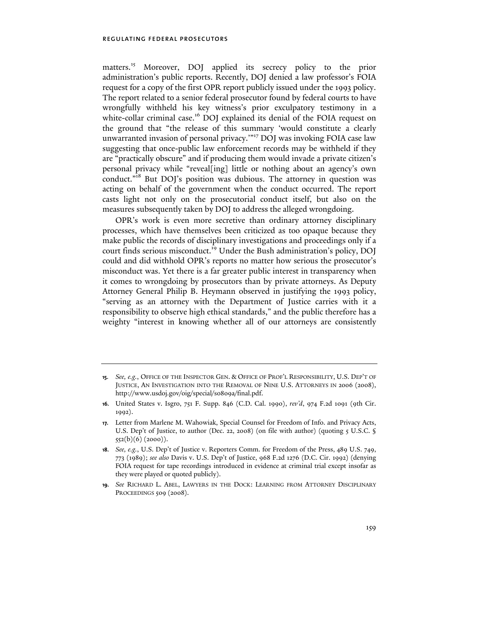matters.<sup>15</sup> Moreover, DOJ applied its secrecy policy to the prior administration's public reports. Recently, DOJ denied a law professor's FOIA request for a copy of the first OPR report publicly issued under the 1993 policy. The report related to a senior federal prosecutor found by federal courts to have wrongfully withheld his key witness's prior exculpatory testimony in a white-collar criminal case.<sup>16</sup> DOJ explained its denial of the FOIA request on the ground that "the release of this summary 'would constitute a clearly unwarranted invasion of personal privacy.'"17 DOJ was invoking FOIA case law suggesting that once-public law enforcement records may be withheld if they are "practically obscure" and if producing them would invade a private citizen's personal privacy while "reveal[ing] little or nothing about an agency's own conduct."<sup>18</sup> But DOJ's position was dubious. The attorney in question was acting on behalf of the government when the conduct occurred. The report casts light not only on the prosecutorial conduct itself, but also on the measures subsequently taken by DOJ to address the alleged wrongdoing.

OPR's work is even more secretive than ordinary attorney disciplinary processes, which have themselves been criticized as too opaque because they make public the records of disciplinary investigations and proceedings only if a court finds serious misconduct.<sup>19</sup> Under the Bush administration's policy, DOJ could and did withhold OPR's reports no matter how serious the prosecutor's misconduct was. Yet there is a far greater public interest in transparency when it comes to wrongdoing by prosecutors than by private attorneys. As Deputy Attorney General Philip B. Heymann observed in justifying the 1993 policy, "serving as an attorney with the Department of Justice carries with it a responsibility to observe high ethical standards," and the public therefore has a weighty "interest in knowing whether all of our attorneys are consistently

**<sup>15.</sup>** *See, e.g.*, OFFICE OF THE INSPECTOR GEN. & OFFICE OF PROF'L RESPONSIBILITY, U.S. DEP'T OF JUSTICE, AN INVESTIGATION INTO THE REMOVAL OF NINE U.S. ATTORNEYS IN 2006 (2008), http://www.usdoj.gov/oig/special/s0809a/final.pdf.

**<sup>16.</sup>** United States v. Isgro, 751 F. Supp. 846 (C.D. Cal. 1990), *rev'd*, 974 F.2d 1091 (9th Cir. 1992).

**<sup>17.</sup>** Letter from Marlene M. Wahowiak, Special Counsel for Freedom of Info. and Privacy Acts, U.S. Dep't of Justice, to author (Dec. 22, 2008) (on file with author) (quoting 5 U.S.C. §  $552(b)(6) (2000)$ ).

**<sup>18.</sup>** *See, e.g.*, U.S. Dep't of Justice v. Reporters Comm. for Freedom of the Press, 489 U.S. 749, 773 (1989); *see also* Davis v. U.S. Dep't of Justice, 968 F.2d 1276 (D.C. Cir. 1992) (denying FOIA request for tape recordings introduced in evidence at criminal trial except insofar as they were played or quoted publicly).

**<sup>19.</sup>** *See* RICHARD L. ABEL, LAWYERS IN THE DOCK: LEARNING FROM ATTORNEY DISCIPLINARY PROCEEDINGS 509 (2008).